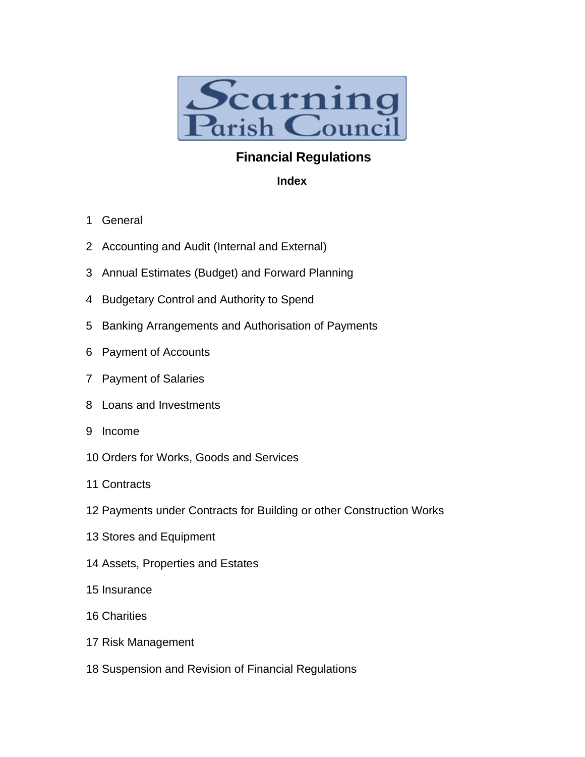

# **Financial Regulations**

### **Index**

- 1 General
- 2 Accounting and Audit (Internal and External)
- 3 Annual Estimates (Budget) and Forward Planning
- 4 Budgetary Control and Authority to Spend
- 5 Banking Arrangements and Authorisation of Payments
- 6 Payment of Accounts
- 7 Payment of Salaries
- 8 Loans and Investments
- 9 Income
- 10 Orders for Works, Goods and Services
- 11 Contracts
- 12 Payments under Contracts for Building or other Construction Works
- 13 Stores and Equipment
- 14 Assets, Properties and Estates
- 15 Insurance
- 16 Charities
- 17 Risk Management
- 18 Suspension and Revision of Financial Regulations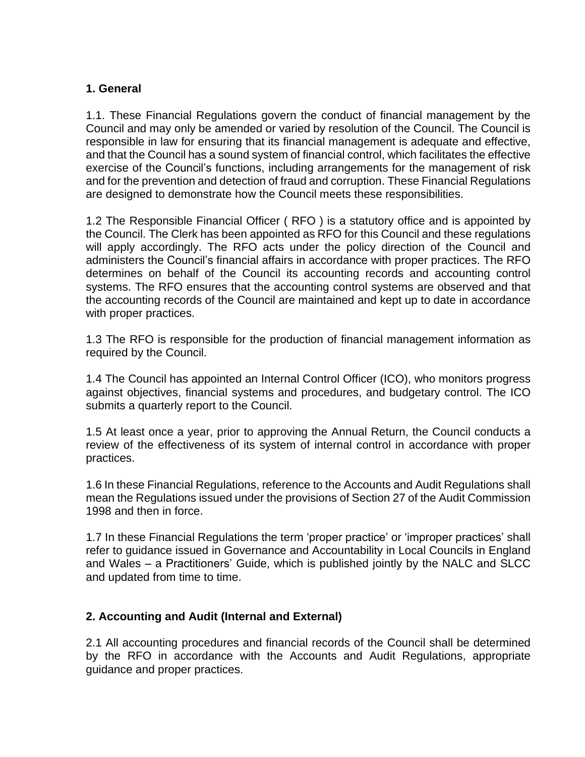# **1. General**

1.1. These Financial Regulations govern the conduct of financial management by the Council and may only be amended or varied by resolution of the Council. The Council is responsible in law for ensuring that its financial management is adequate and effective, and that the Council has a sound system of financial control, which facilitates the effective exercise of the Council's functions, including arrangements for the management of risk and for the prevention and detection of fraud and corruption. These Financial Regulations are designed to demonstrate how the Council meets these responsibilities.

1.2 The Responsible Financial Officer ( RFO ) is a statutory office and is appointed by the Council. The Clerk has been appointed as RFO for this Council and these regulations will apply accordingly. The RFO acts under the policy direction of the Council and administers the Council's financial affairs in accordance with proper practices. The RFO determines on behalf of the Council its accounting records and accounting control systems. The RFO ensures that the accounting control systems are observed and that the accounting records of the Council are maintained and kept up to date in accordance with proper practices.

1.3 The RFO is responsible for the production of financial management information as required by the Council.

1.4 The Council has appointed an Internal Control Officer (ICO), who monitors progress against objectives, financial systems and procedures, and budgetary control. The ICO submits a quarterly report to the Council.

1.5 At least once a year, prior to approving the Annual Return, the Council conducts a review of the effectiveness of its system of internal control in accordance with proper practices.

1.6 In these Financial Regulations, reference to the Accounts and Audit Regulations shall mean the Regulations issued under the provisions of Section 27 of the Audit Commission 1998 and then in force.

1.7 In these Financial Regulations the term 'proper practice' or 'improper practices' shall refer to guidance issued in Governance and Accountability in Local Councils in England and Wales – a Practitioners' Guide, which is published jointly by the NALC and SLCC and updated from time to time.

#### **2. Accounting and Audit (Internal and External)**

2.1 All accounting procedures and financial records of the Council shall be determined by the RFO in accordance with the Accounts and Audit Regulations, appropriate guidance and proper practices.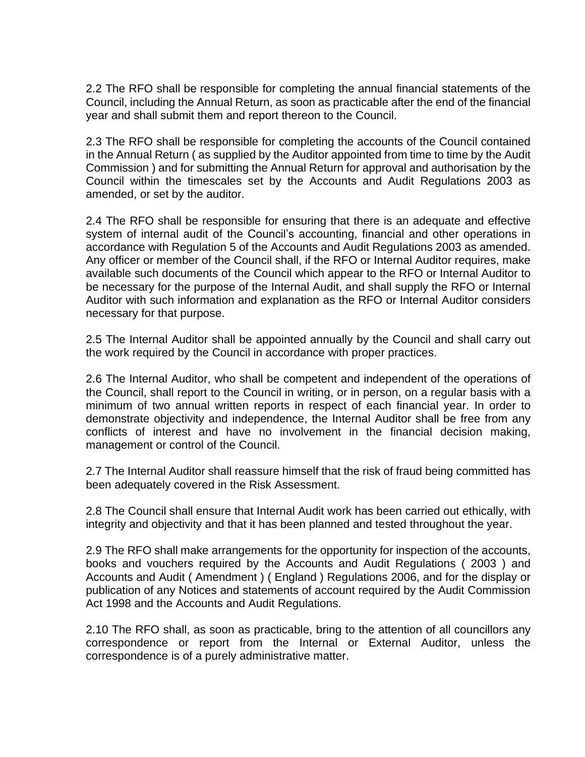2.2 The RFO shall be responsible for completing the annual financial statements of the Council, including the Annual Return, as soon as practicable after the end of the financial year and shall submit them and report thereon to the Council.

2.3 The RFO shall be responsible for completing the accounts of the Council contained in the Annual Return ( as supplied by the Auditor appointed from time to time by the Audit Commission ) and for submitting the Annual Return for approval and authorisation by the Council within the timescales set by the Accounts and Audit Regulations 2003 as amended, or set by the auditor.

2.4 The RFO shall be responsible for ensuring that there is an adequate and effective system of internal audit of the Council's accounting, financial and other operations in accordance with Regulation 5 of the Accounts and Audit Regulations 2003 as amended. Any officer or member of the Council shall, if the RFO or Internal Auditor requires, make available such documents of the Council which appear to the RFO or Internal Auditor to be necessary for the purpose of the Internal Audit, and shall supply the RFO or Internal Auditor with such information and explanation as the RFO or Internal Auditor considers necessary for that purpose.

2.5 The Internal Auditor shall be appointed annually by the Council and shall carry out the work required by the Council in accordance with proper practices.

2.6 The Internal Auditor, who shall be competent and independent of the operations of the Council, shall report to the Council in writing, or in person, on a regular basis with a minimum of two annual written reports in respect of each financial year. In order to demonstrate objectivity and independence, the Internal Auditor shall be free from any conflicts of interest and have no involvement in the financial decision making, management or control of the Council.

2.7 The Internal Auditor shall reassure himself that the risk of fraud being committed has been adequately covered in the Risk Assessment.

2.8 The Council shall ensure that Internal Audit work has been carried out ethically, with integrity and objectivity and that it has been planned and tested throughout the year.

2.9 The RFO shall make arrangements for the opportunity for inspection of the accounts, books and vouchers required by the Accounts and Audit Regulations ( 2003 ) and Accounts and Audit ( Amendment ) ( England ) Regulations 2006, and for the display or publication of any Notices and statements of account required by the Audit Commission Act 1998 and the Accounts and Audit Regulations.

2.10 The RFO shall, as soon as practicable, bring to the attention of all councillors any correspondence or report from the Internal or External Auditor, unless the correspondence is of a purely administrative matter.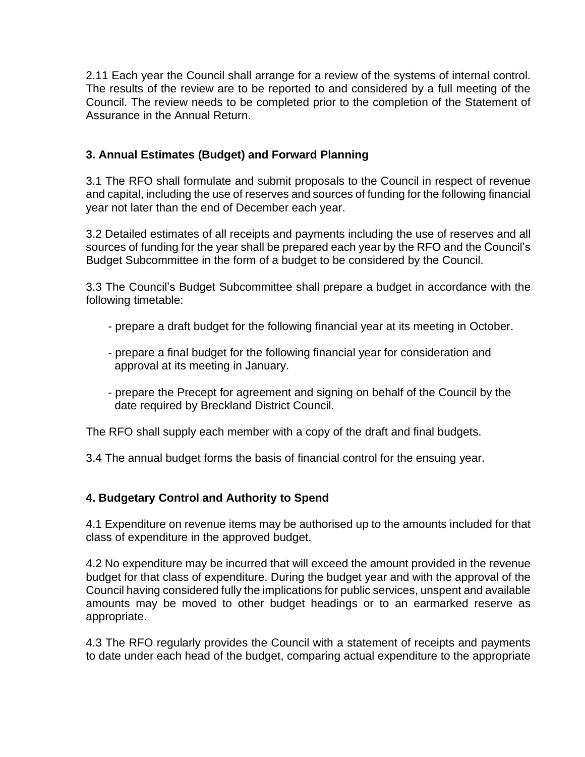2.11 Each year the Council shall arrange for a review of the systems of internal control. The results of the review are to be reported to and considered by a full meeting of the Council. The review needs to be completed prior to the completion of the Statement of Assurance in the Annual Return.

# **3. Annual Estimates (Budget) and Forward Planning**

3.1 The RFO shall formulate and submit proposals to the Council in respect of revenue and capital, including the use of reserves and sources of funding for the following financial year not later than the end of December each year.

3.2 Detailed estimates of all receipts and payments including the use of reserves and all sources of funding for the year shall be prepared each year by the RFO and the Council's Budget Subcommittee in the form of a budget to be considered by the Council.

3.3 The Council's Budget Subcommittee shall prepare a budget in accordance with the following timetable:

- prepare a draft budget for the following financial year at its meeting in October.
- prepare a final budget for the following financial year for consideration and approval at its meeting in January.
- prepare the Precept for agreement and signing on behalf of the Council by the date required by Breckland District Council.

The RFO shall supply each member with a copy of the draft and final budgets.

3.4 The annual budget forms the basis of financial control for the ensuing year.

# **4. Budgetary Control and Authority to Spend**

4.1 Expenditure on revenue items may be authorised up to the amounts included for that class of expenditure in the approved budget.

4.2 No expenditure may be incurred that will exceed the amount provided in the revenue budget for that class of expenditure. During the budget year and with the approval of the Council having considered fully the implications for public services, unspent and available amounts may be moved to other budget headings or to an earmarked reserve as appropriate.

4.3 The RFO regularly provides the Council with a statement of receipts and payments to date under each head of the budget, comparing actual expenditure to the appropriate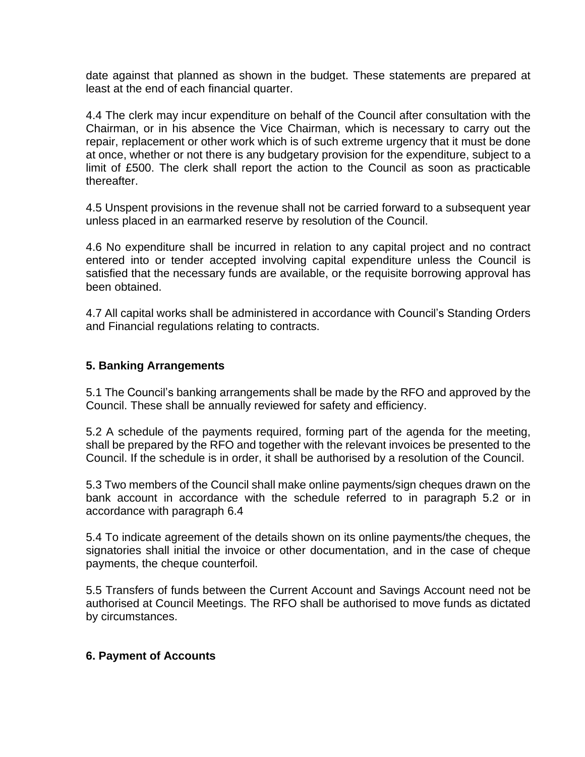date against that planned as shown in the budget. These statements are prepared at least at the end of each financial quarter.

4.4 The clerk may incur expenditure on behalf of the Council after consultation with the Chairman, or in his absence the Vice Chairman, which is necessary to carry out the repair, replacement or other work which is of such extreme urgency that it must be done at once, whether or not there is any budgetary provision for the expenditure, subject to a limit of £500. The clerk shall report the action to the Council as soon as practicable thereafter.

4.5 Unspent provisions in the revenue shall not be carried forward to a subsequent year unless placed in an earmarked reserve by resolution of the Council.

4.6 No expenditure shall be incurred in relation to any capital project and no contract entered into or tender accepted involving capital expenditure unless the Council is satisfied that the necessary funds are available, or the requisite borrowing approval has been obtained.

4.7 All capital works shall be administered in accordance with Council's Standing Orders and Financial regulations relating to contracts.

# **5. Banking Arrangements**

5.1 The Council's banking arrangements shall be made by the RFO and approved by the Council. These shall be annually reviewed for safety and efficiency.

5.2 A schedule of the payments required, forming part of the agenda for the meeting, shall be prepared by the RFO and together with the relevant invoices be presented to the Council. If the schedule is in order, it shall be authorised by a resolution of the Council.

5.3 Two members of the Council shall make online payments/sign cheques drawn on the bank account in accordance with the schedule referred to in paragraph 5.2 or in accordance with paragraph 6.4

5.4 To indicate agreement of the details shown on its online payments/the cheques, the signatories shall initial the invoice or other documentation, and in the case of cheque payments, the cheque counterfoil.

5.5 Transfers of funds between the Current Account and Savings Account need not be authorised at Council Meetings. The RFO shall be authorised to move funds as dictated by circumstances.

#### **6. Payment of Accounts**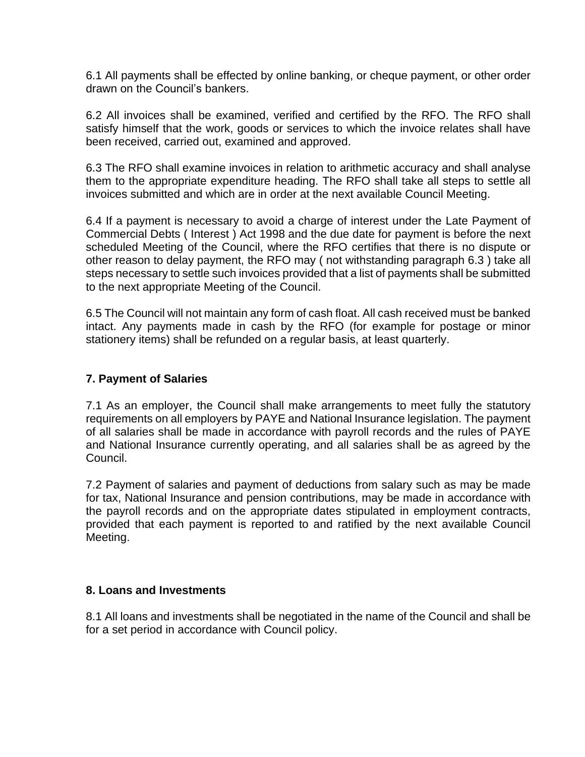6.1 All payments shall be effected by online banking, or cheque payment, or other order drawn on the Council's bankers.

6.2 All invoices shall be examined, verified and certified by the RFO. The RFO shall satisfy himself that the work, goods or services to which the invoice relates shall have been received, carried out, examined and approved.

6.3 The RFO shall examine invoices in relation to arithmetic accuracy and shall analyse them to the appropriate expenditure heading. The RFO shall take all steps to settle all invoices submitted and which are in order at the next available Council Meeting.

6.4 If a payment is necessary to avoid a charge of interest under the Late Payment of Commercial Debts ( Interest ) Act 1998 and the due date for payment is before the next scheduled Meeting of the Council, where the RFO certifies that there is no dispute or other reason to delay payment, the RFO may ( not withstanding paragraph 6.3 ) take all steps necessary to settle such invoices provided that a list of payments shall be submitted to the next appropriate Meeting of the Council.

6.5 The Council will not maintain any form of cash float. All cash received must be banked intact. Any payments made in cash by the RFO (for example for postage or minor stationery items) shall be refunded on a regular basis, at least quarterly.

#### **7. Payment of Salaries**

7.1 As an employer, the Council shall make arrangements to meet fully the statutory requirements on all employers by PAYE and National Insurance legislation. The payment of all salaries shall be made in accordance with payroll records and the rules of PAYE and National Insurance currently operating, and all salaries shall be as agreed by the Council.

7.2 Payment of salaries and payment of deductions from salary such as may be made for tax, National Insurance and pension contributions, may be made in accordance with the payroll records and on the appropriate dates stipulated in employment contracts, provided that each payment is reported to and ratified by the next available Council Meeting.

#### **8. Loans and Investments**

8.1 All loans and investments shall be negotiated in the name of the Council and shall be for a set period in accordance with Council policy.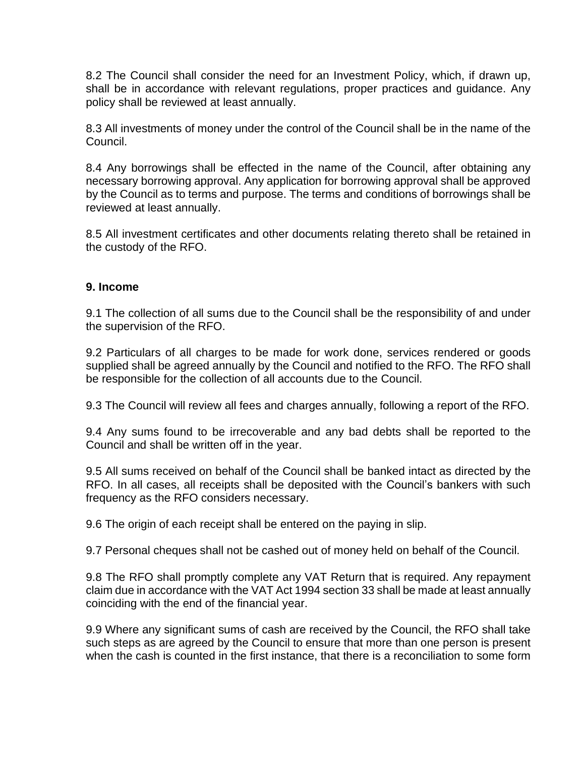8.2 The Council shall consider the need for an Investment Policy, which, if drawn up, shall be in accordance with relevant regulations, proper practices and guidance. Any policy shall be reviewed at least annually.

8.3 All investments of money under the control of the Council shall be in the name of the Council.

8.4 Any borrowings shall be effected in the name of the Council, after obtaining any necessary borrowing approval. Any application for borrowing approval shall be approved by the Council as to terms and purpose. The terms and conditions of borrowings shall be reviewed at least annually.

8.5 All investment certificates and other documents relating thereto shall be retained in the custody of the RFO.

#### **9. Income**

9.1 The collection of all sums due to the Council shall be the responsibility of and under the supervision of the RFO.

9.2 Particulars of all charges to be made for work done, services rendered or goods supplied shall be agreed annually by the Council and notified to the RFO. The RFO shall be responsible for the collection of all accounts due to the Council.

9.3 The Council will review all fees and charges annually, following a report of the RFO.

9.4 Any sums found to be irrecoverable and any bad debts shall be reported to the Council and shall be written off in the year.

9.5 All sums received on behalf of the Council shall be banked intact as directed by the RFO. In all cases, all receipts shall be deposited with the Council's bankers with such frequency as the RFO considers necessary.

9.6 The origin of each receipt shall be entered on the paying in slip.

9.7 Personal cheques shall not be cashed out of money held on behalf of the Council.

9.8 The RFO shall promptly complete any VAT Return that is required. Any repayment claim due in accordance with the VAT Act 1994 section 33 shall be made at least annually coinciding with the end of the financial year.

9.9 Where any significant sums of cash are received by the Council, the RFO shall take such steps as are agreed by the Council to ensure that more than one person is present when the cash is counted in the first instance, that there is a reconciliation to some form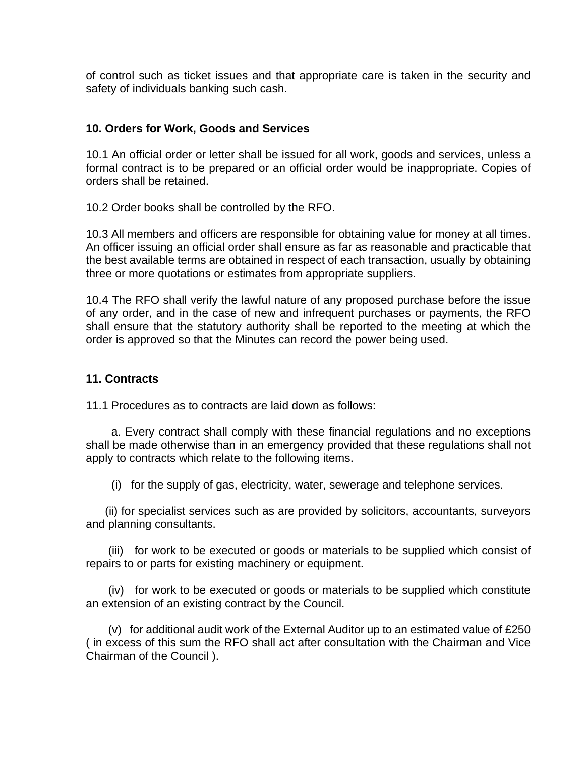of control such as ticket issues and that appropriate care is taken in the security and safety of individuals banking such cash.

#### **10. Orders for Work, Goods and Services**

10.1 An official order or letter shall be issued for all work, goods and services, unless a formal contract is to be prepared or an official order would be inappropriate. Copies of orders shall be retained.

10.2 Order books shall be controlled by the RFO.

10.3 All members and officers are responsible for obtaining value for money at all times. An officer issuing an official order shall ensure as far as reasonable and practicable that the best available terms are obtained in respect of each transaction, usually by obtaining three or more quotations or estimates from appropriate suppliers.

10.4 The RFO shall verify the lawful nature of any proposed purchase before the issue of any order, and in the case of new and infrequent purchases or payments, the RFO shall ensure that the statutory authority shall be reported to the meeting at which the order is approved so that the Minutes can record the power being used.

#### **11. Contracts**

11.1 Procedures as to contracts are laid down as follows:

 a. Every contract shall comply with these financial regulations and no exceptions shall be made otherwise than in an emergency provided that these regulations shall not apply to contracts which relate to the following items.

(i) for the supply of gas, electricity, water, sewerage and telephone services.

 (ii) for specialist services such as are provided by solicitors, accountants, surveyors and planning consultants.

 (iii) for work to be executed or goods or materials to be supplied which consist of repairs to or parts for existing machinery or equipment.

 (iv) for work to be executed or goods or materials to be supplied which constitute an extension of an existing contract by the Council.

(v) for additional audit work of the External Auditor up to an estimated value of  $£250$ ( in excess of this sum the RFO shall act after consultation with the Chairman and Vice Chairman of the Council ).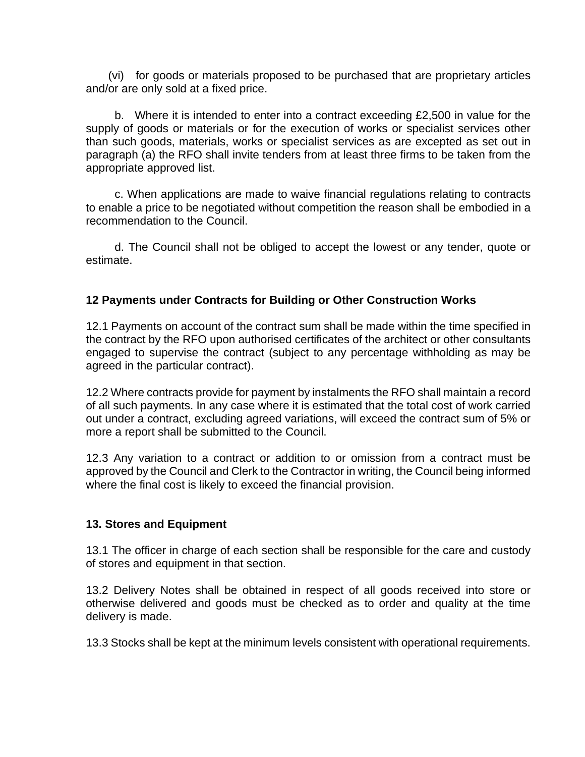(vi) for goods or materials proposed to be purchased that are proprietary articles and/or are only sold at a fixed price.

 b. Where it is intended to enter into a contract exceeding £2,500 in value for the supply of goods or materials or for the execution of works or specialist services other than such goods, materials, works or specialist services as are excepted as set out in paragraph (a) the RFO shall invite tenders from at least three firms to be taken from the appropriate approved list.

 c. When applications are made to waive financial regulations relating to contracts to enable a price to be negotiated without competition the reason shall be embodied in a recommendation to the Council.

 d. The Council shall not be obliged to accept the lowest or any tender, quote or estimate.

# **12 Payments under Contracts for Building or Other Construction Works**

12.1 Payments on account of the contract sum shall be made within the time specified in the contract by the RFO upon authorised certificates of the architect or other consultants engaged to supervise the contract (subject to any percentage withholding as may be agreed in the particular contract).

12.2 Where contracts provide for payment by instalments the RFO shall maintain a record of all such payments. In any case where it is estimated that the total cost of work carried out under a contract, excluding agreed variations, will exceed the contract sum of 5% or more a report shall be submitted to the Council.

12.3 Any variation to a contract or addition to or omission from a contract must be approved by the Council and Clerk to the Contractor in writing, the Council being informed where the final cost is likely to exceed the financial provision.

#### **13. Stores and Equipment**

13.1 The officer in charge of each section shall be responsible for the care and custody of stores and equipment in that section.

13.2 Delivery Notes shall be obtained in respect of all goods received into store or otherwise delivered and goods must be checked as to order and quality at the time delivery is made.

13.3 Stocks shall be kept at the minimum levels consistent with operational requirements.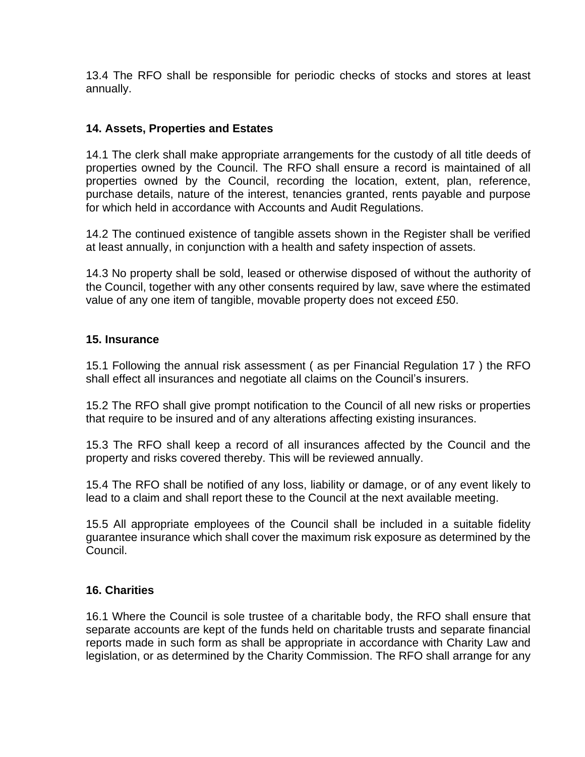13.4 The RFO shall be responsible for periodic checks of stocks and stores at least annually.

# **14. Assets, Properties and Estates**

14.1 The clerk shall make appropriate arrangements for the custody of all title deeds of properties owned by the Council. The RFO shall ensure a record is maintained of all properties owned by the Council, recording the location, extent, plan, reference, purchase details, nature of the interest, tenancies granted, rents payable and purpose for which held in accordance with Accounts and Audit Regulations.

14.2 The continued existence of tangible assets shown in the Register shall be verified at least annually, in conjunction with a health and safety inspection of assets.

14.3 No property shall be sold, leased or otherwise disposed of without the authority of the Council, together with any other consents required by law, save where the estimated value of any one item of tangible, movable property does not exceed £50.

#### **15. Insurance**

15.1 Following the annual risk assessment ( as per Financial Regulation 17 ) the RFO shall effect all insurances and negotiate all claims on the Council's insurers.

15.2 The RFO shall give prompt notification to the Council of all new risks or properties that require to be insured and of any alterations affecting existing insurances.

15.3 The RFO shall keep a record of all insurances affected by the Council and the property and risks covered thereby. This will be reviewed annually.

15.4 The RFO shall be notified of any loss, liability or damage, or of any event likely to lead to a claim and shall report these to the Council at the next available meeting.

15.5 All appropriate employees of the Council shall be included in a suitable fidelity guarantee insurance which shall cover the maximum risk exposure as determined by the Council.

#### **16. Charities**

16.1 Where the Council is sole trustee of a charitable body, the RFO shall ensure that separate accounts are kept of the funds held on charitable trusts and separate financial reports made in such form as shall be appropriate in accordance with Charity Law and legislation, or as determined by the Charity Commission. The RFO shall arrange for any